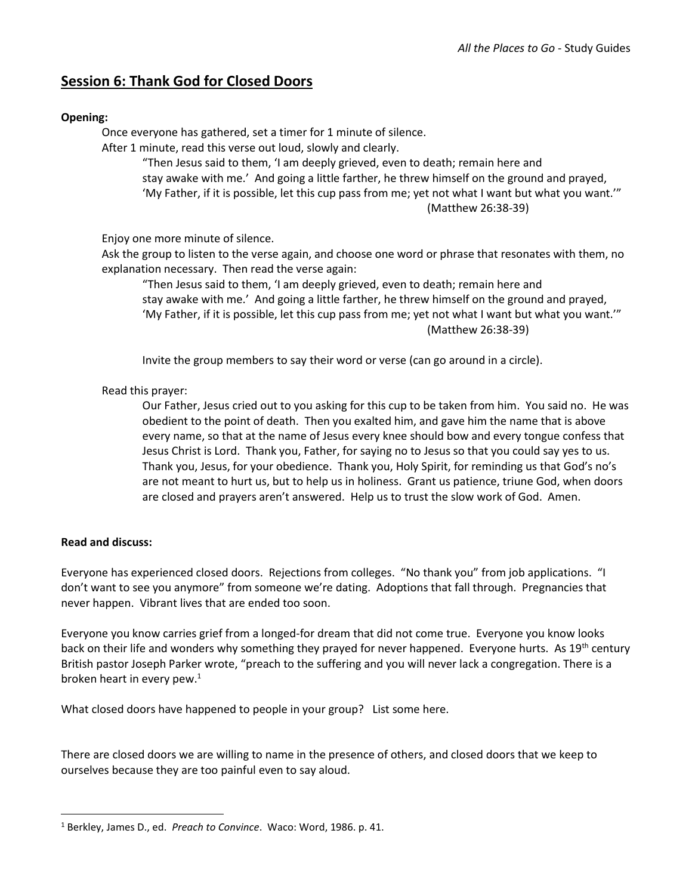## **Session 6: Thank God for Closed Doors**

## **Opening:**

Once everyone has gathered, set a timer for 1 minute of silence.

After 1 minute, read this verse out loud, slowly and clearly.

"Then Jesus said to them, 'I am deeply grieved, even to death; remain here and stay awake with me.' And going a little farther, he threw himself on the ground and prayed, 'My Father, if it is possible, let this cup pass from me; yet not what I want but what you want.'" (Matthew 26:38-39)

Enjoy one more minute of silence.

Ask the group to listen to the verse again, and choose one word or phrase that resonates with them, no explanation necessary. Then read the verse again:

"Then Jesus said to them, 'I am deeply grieved, even to death; remain here and stay awake with me.' And going a little farther, he threw himself on the ground and prayed, 'My Father, if it is possible, let this cup pass from me; yet not what I want but what you want.'" (Matthew 26:38-39)

Invite the group members to say their word or verse (can go around in a circle).

## Read this prayer:

Our Father, Jesus cried out to you asking for this cup to be taken from him. You said no. He was obedient to the point of death. Then you exalted him, and gave him the name that is above every name, so that at the name of Jesus every knee should bow and every tongue confess that Jesus Christ is Lord. Thank you, Father, for saying no to Jesus so that you could say yes to us. Thank you, Jesus, for your obedience. Thank you, Holy Spirit, for reminding us that God's no's are not meant to hurt us, but to help us in holiness. Grant us patience, triune God, when doors are closed and prayers aren't answered. Help us to trust the slow work of God. Amen.

## **Read and discuss:**

 $\overline{\phantom{a}}$ 

Everyone has experienced closed doors. Rejections from colleges. "No thank you" from job applications. "I don't want to see you anymore" from someone we're dating. Adoptions that fall through. Pregnancies that never happen. Vibrant lives that are ended too soon.

Everyone you know carries grief from a longed-for dream that did not come true. Everyone you know looks back on their life and wonders why something they prayed for never happened. Everyone hurts. As 19<sup>th</sup> century British pastor Joseph Parker wrote, "preach to the suffering and you will never lack a congregation. There is a broken heart in every pew.<sup>1</sup>

What closed doors have happened to people in your group? List some here.

There are closed doors we are willing to name in the presence of others, and closed doors that we keep to ourselves because they are too painful even to say aloud.

<sup>1</sup> Berkley, James D., ed. *Preach to Convince*. Waco: Word, 1986. p. 41.